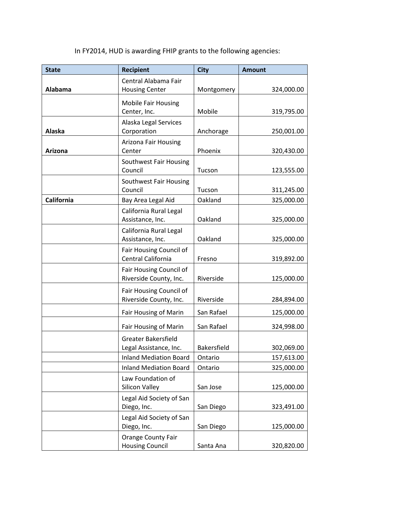In FY2014, HUD is awarding FHIP grants to the following agencies:

| <b>State</b> | <b>Recipient</b>                                     | <b>City</b>        | <b>Amount</b> |
|--------------|------------------------------------------------------|--------------------|---------------|
| Alabama      | Central Alabama Fair<br><b>Housing Center</b>        | Montgomery         | 324,000.00    |
|              | Mobile Fair Housing<br>Center, Inc.                  | Mobile             | 319,795.00    |
| Alaska       | Alaska Legal Services<br>Corporation                 | Anchorage          | 250,001.00    |
| Arizona      | Arizona Fair Housing<br>Center                       | Phoenix            | 320,430.00    |
|              | Southwest Fair Housing<br>Council                    | Tucson             | 123,555.00    |
|              | Southwest Fair Housing<br>Council                    | Tucson             | 311,245.00    |
| California   | Bay Area Legal Aid                                   | Oakland            | 325,000.00    |
|              | California Rural Legal<br>Assistance, Inc.           | Oakland            | 325,000.00    |
|              | California Rural Legal<br>Assistance, Inc.           | Oakland            | 325,000.00    |
|              | Fair Housing Council of<br>Central California        | Fresno             | 319,892.00    |
|              | Fair Housing Council of<br>Riverside County, Inc.    | Riverside          | 125,000.00    |
|              | Fair Housing Council of<br>Riverside County, Inc.    | Riverside          | 284,894.00    |
|              | Fair Housing of Marin                                | San Rafael         | 125,000.00    |
|              | Fair Housing of Marin                                | San Rafael         | 324,998.00    |
|              | <b>Greater Bakersfield</b><br>Legal Assistance, Inc. | <b>Bakersfield</b> | 302,069.00    |
|              | <b>Inland Mediation Board</b>                        | Ontario            | 157,613.00    |
|              | <b>Inland Mediation Board</b>                        | Ontario            | 325,000.00    |
|              | Law Foundation of<br>Silicon Valley                  | San Jose           | 125,000.00    |
|              | Legal Aid Society of San<br>Diego, Inc.              | San Diego          | 323,491.00    |
|              | Legal Aid Society of San<br>Diego, Inc.              | San Diego          | 125,000.00    |
|              | <b>Orange County Fair</b><br><b>Housing Council</b>  | Santa Ana          | 320,820.00    |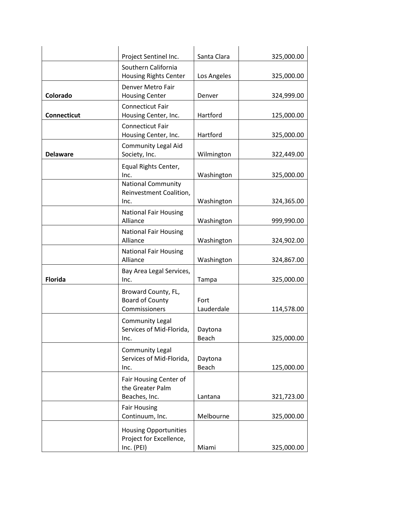|                    | Project Sentinel Inc.                                                 | Santa Clara        | 325,000.00 |
|--------------------|-----------------------------------------------------------------------|--------------------|------------|
|                    | Southern California<br>Housing Rights Center                          | Los Angeles        | 325,000.00 |
| Colorado           | Denver Metro Fair<br><b>Housing Center</b>                            | Denver             | 324,999.00 |
| <b>Connecticut</b> | <b>Connecticut Fair</b><br>Housing Center, Inc.                       | Hartford           | 125,000.00 |
|                    | <b>Connecticut Fair</b><br>Housing Center, Inc.                       | Hartford           | 325,000.00 |
| <b>Delaware</b>    | <b>Community Legal Aid</b><br>Society, Inc.                           | Wilmington         | 322,449.00 |
|                    | Equal Rights Center,<br>Inc.<br><b>National Community</b>             | Washington         | 325,000.00 |
|                    | Reinvestment Coalition,<br>Inc.                                       | Washington         | 324,365.00 |
|                    | <b>National Fair Housing</b><br>Alliance                              | Washington         | 999,990.00 |
|                    | <b>National Fair Housing</b><br>Alliance                              | Washington         | 324,902.00 |
|                    | <b>National Fair Housing</b><br>Alliance                              | Washington         | 324,867.00 |
| <b>Florida</b>     | Bay Area Legal Services,<br>Inc.                                      | Tampa              | 325,000.00 |
|                    | Broward County, FL,<br>Board of County<br>Commissioners               | Fort<br>Lauderdale | 114,578.00 |
|                    | <b>Community Legal</b><br>Services of Mid-Florida,<br>Inc.            | Daytona<br>Beach   | 325,000.00 |
|                    | <b>Community Legal</b><br>Services of Mid-Florida,<br>Inc.            | Daytona<br>Beach   | 125,000.00 |
|                    | Fair Housing Center of<br>the Greater Palm<br>Beaches, Inc.           | Lantana            | 321,723.00 |
|                    | <b>Fair Housing</b><br>Continuum, Inc.                                | Melbourne          | 325,000.00 |
|                    | <b>Housing Opportunities</b><br>Project for Excellence,<br>Inc. (PEI) | Miami              | 325,000.00 |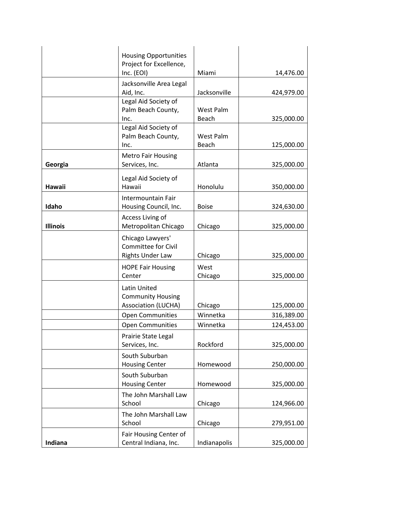|                 | <b>Housing Opportunities</b>                                              |                    |            |
|-----------------|---------------------------------------------------------------------------|--------------------|------------|
|                 | Project for Excellence,<br>Inc. (EOI)                                     | Miami              | 14,476.00  |
|                 | Jacksonville Area Legal<br>Aid, Inc.                                      | Jacksonville       | 424,979.00 |
|                 | Legal Aid Society of<br>Palm Beach County,<br>Inc.                        | West Palm<br>Beach | 325,000.00 |
|                 | Legal Aid Society of<br>Palm Beach County,<br>Inc.                        | West Palm<br>Beach | 125,000.00 |
| Georgia         | <b>Metro Fair Housing</b><br>Services, Inc.                               | Atlanta            | 325,000.00 |
| <b>Hawaii</b>   | Legal Aid Society of<br>Hawaii                                            | Honolulu           | 350,000.00 |
| Idaho           | Intermountain Fair<br>Housing Council, Inc.                               | <b>Boise</b>       | 324,630.00 |
| <b>Illinois</b> | Access Living of<br>Metropolitan Chicago                                  | Chicago            | 325,000.00 |
|                 | Chicago Lawyers'<br><b>Committee for Civil</b><br><b>Rights Under Law</b> | Chicago            | 325,000.00 |
|                 | <b>HOPE Fair Housing</b><br>Center                                        | West<br>Chicago    | 325,000.00 |
|                 | Latin United<br><b>Community Housing</b><br><b>Association (LUCHA)</b>    | Chicago            | 125,000.00 |
|                 | <b>Open Communities</b>                                                   | Winnetka           | 316,389.00 |
|                 | <b>Open Communities</b>                                                   | Winnetka           | 124,453.00 |
|                 | Prairie State Legal<br>Services, Inc.                                     | Rockford           | 325,000.00 |
|                 | South Suburban<br><b>Housing Center</b>                                   | Homewood           | 250,000.00 |
|                 | South Suburban<br><b>Housing Center</b>                                   | Homewood           | 325,000.00 |
|                 | The John Marshall Law<br>School                                           | Chicago            | 124,966.00 |
|                 | The John Marshall Law<br>School                                           | Chicago            | 279,951.00 |
| Indiana         | Fair Housing Center of<br>Central Indiana, Inc.                           | Indianapolis       | 325,000.00 |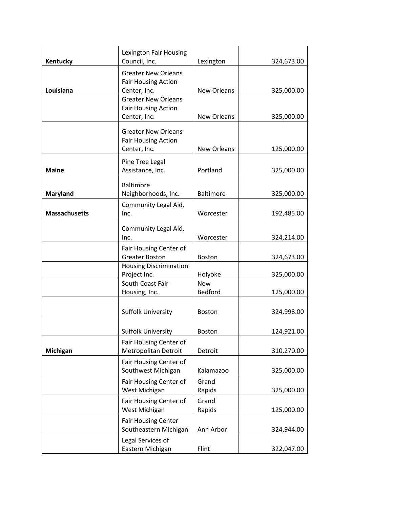|                      | Lexington Fair Housing                                 |                    |            |
|----------------------|--------------------------------------------------------|--------------------|------------|
| Kentucky             | Council, Inc.                                          | Lexington          | 324,673.00 |
|                      | <b>Greater New Orleans</b>                             |                    |            |
| Louisiana            | <b>Fair Housing Action</b><br>Center, Inc.             | New Orleans        | 325,000.00 |
|                      | <b>Greater New Orleans</b>                             |                    |            |
|                      | <b>Fair Housing Action</b>                             |                    |            |
|                      | Center, Inc.                                           | <b>New Orleans</b> | 325,000.00 |
|                      | <b>Greater New Orleans</b>                             |                    |            |
|                      | <b>Fair Housing Action</b>                             |                    |            |
|                      | Center, Inc.                                           | <b>New Orleans</b> | 125,000.00 |
|                      | Pine Tree Legal                                        |                    |            |
| <b>Maine</b>         | Assistance, Inc.                                       | Portland           | 325,000.00 |
|                      |                                                        |                    |            |
| <b>Maryland</b>      | <b>Baltimore</b><br>Neighborhoods, Inc.                | <b>Baltimore</b>   | 325,000.00 |
|                      | Community Legal Aid,                                   |                    |            |
| <b>Massachusetts</b> | Inc.                                                   | Worcester          | 192,485.00 |
|                      |                                                        |                    |            |
|                      | Community Legal Aid,                                   |                    |            |
|                      | Inc.                                                   | Worcester          | 324,214.00 |
|                      | Fair Housing Center of                                 |                    |            |
|                      | <b>Greater Boston</b><br><b>Housing Discrimination</b> | Boston             | 324,673.00 |
|                      | Project Inc.                                           | Holyoke            | 325,000.00 |
|                      | South Coast Fair                                       | <b>New</b>         |            |
|                      | Housing, Inc.                                          | <b>Bedford</b>     | 125,000.00 |
|                      |                                                        |                    |            |
|                      | <b>Suffolk University</b>                              | Boston             | 324,998.00 |
|                      |                                                        |                    |            |
|                      | <b>Suffolk University</b>                              | <b>Boston</b>      | 124,921.00 |
|                      | Fair Housing Center of                                 |                    |            |
| Michigan             | Metropolitan Detroit                                   | Detroit            | 310,270.00 |
|                      | Fair Housing Center of                                 |                    |            |
|                      | Southwest Michigan                                     | Kalamazoo          | 325,000.00 |
|                      | Fair Housing Center of<br>West Michigan                | Grand<br>Rapids    | 325,000.00 |
|                      | Fair Housing Center of                                 | Grand              |            |
|                      | West Michigan                                          | Rapids             | 125,000.00 |
|                      | <b>Fair Housing Center</b>                             |                    |            |
|                      | Southeastern Michigan                                  | Ann Arbor          | 324,944.00 |
|                      | Legal Services of                                      |                    |            |
|                      | Eastern Michigan                                       | Flint              | 322,047.00 |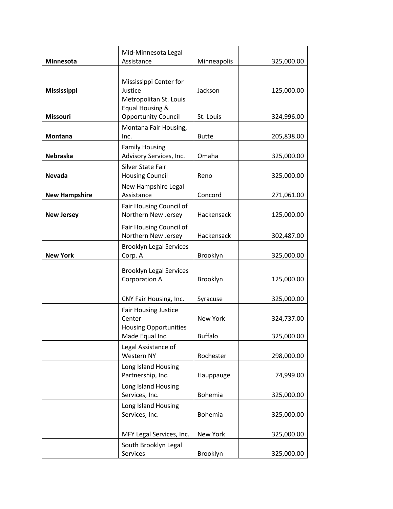|                      | Mid-Minnesota Legal                                                     |                |            |
|----------------------|-------------------------------------------------------------------------|----------------|------------|
| Minnesota            | Assistance                                                              | Minneapolis    | 325,000.00 |
| Mississippi          | Mississippi Center for<br>Justice                                       | Jackson        | 125,000.00 |
| <b>Missouri</b>      | Metropolitan St. Louis<br>Equal Housing &<br><b>Opportunity Council</b> | St. Louis      | 324,996.00 |
| Montana              | Montana Fair Housing,<br>Inc.                                           | <b>Butte</b>   | 205,838.00 |
| <b>Nebraska</b>      | <b>Family Housing</b><br>Advisory Services, Inc.                        | Omaha          | 325,000.00 |
| Nevada               | <b>Silver State Fair</b><br><b>Housing Council</b>                      | Reno           | 325,000.00 |
| <b>New Hampshire</b> | New Hampshire Legal<br>Assistance                                       | Concord        | 271,061.00 |
| <b>New Jersey</b>    | Fair Housing Council of<br>Northern New Jersey                          | Hackensack     | 125,000.00 |
|                      | Fair Housing Council of<br>Northern New Jersey                          | Hackensack     | 302,487.00 |
| <b>New York</b>      | <b>Brooklyn Legal Services</b><br>Corp. A                               | Brooklyn       | 325,000.00 |
|                      | <b>Brooklyn Legal Services</b><br><b>Corporation A</b>                  | Brooklyn       | 125,000.00 |
|                      | CNY Fair Housing, Inc.                                                  | Syracuse       | 325,000.00 |
|                      | Fair Housing Justice<br>Center                                          | New York       | 324,737.00 |
|                      | <b>Housing Opportunities</b><br>Made Equal Inc.                         | <b>Buffalo</b> | 325,000.00 |
|                      | Legal Assistance of<br><b>Western NY</b>                                | Rochester      | 298,000.00 |
|                      | Long Island Housing<br>Partnership, Inc.                                | Hauppauge      | 74,999.00  |
|                      | Long Island Housing<br>Services, Inc.                                   | Bohemia        | 325,000.00 |
|                      | Long Island Housing<br>Services, Inc.                                   | Bohemia        | 325,000.00 |
|                      | MFY Legal Services, Inc.                                                | New York       | 325,000.00 |
|                      | South Brooklyn Legal<br>Services                                        | Brooklyn       | 325,000.00 |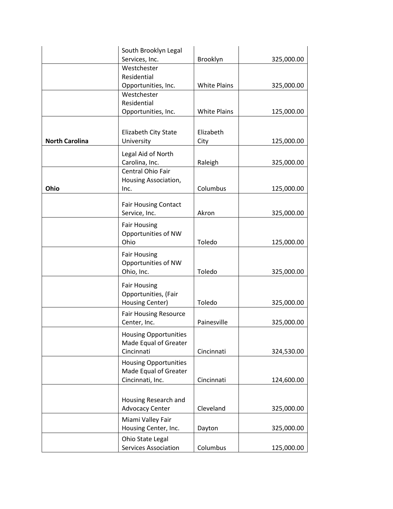|                       | South Brooklyn Legal         |                     |            |
|-----------------------|------------------------------|---------------------|------------|
|                       | Services, Inc.               | Brooklyn            | 325,000.00 |
|                       | Westchester                  |                     |            |
|                       | Residential                  |                     |            |
|                       | Opportunities, Inc.          | <b>White Plains</b> | 325,000.00 |
|                       | Westchester                  |                     |            |
|                       | Residential                  |                     |            |
|                       | Opportunities, Inc.          | <b>White Plains</b> | 125,000.00 |
|                       |                              |                     |            |
|                       | Elizabeth City State         | Elizabeth           |            |
| <b>North Carolina</b> | University                   | City                | 125,000.00 |
|                       | Legal Aid of North           |                     |            |
|                       | Carolina, Inc.               | Raleigh             | 325,000.00 |
|                       | Central Ohio Fair            |                     |            |
|                       | Housing Association,         |                     |            |
| Ohio                  | Inc.                         | Columbus            | 125,000.00 |
|                       |                              |                     |            |
|                       | <b>Fair Housing Contact</b>  |                     |            |
|                       | Service, Inc.                | Akron               | 325,000.00 |
|                       | <b>Fair Housing</b>          |                     |            |
|                       | Opportunities of NW          |                     |            |
|                       | Ohio                         | Toledo              | 125,000.00 |
|                       | <b>Fair Housing</b>          |                     |            |
|                       | Opportunities of NW          |                     |            |
|                       | Ohio, Inc.                   | Toledo              | 325,000.00 |
|                       |                              |                     |            |
|                       | <b>Fair Housing</b>          |                     |            |
|                       | Opportunities, (Fair         |                     |            |
|                       | Housing Center)              | Toledo              | 325,000.00 |
|                       | <b>Fair Housing Resource</b> |                     |            |
|                       | Center, Inc.                 | Painesville         | 325,000.00 |
|                       | <b>Housing Opportunities</b> |                     |            |
|                       | Made Equal of Greater        |                     |            |
|                       | Cincinnati                   | Cincinnati          | 324,530.00 |
|                       | <b>Housing Opportunities</b> |                     |            |
|                       | Made Equal of Greater        |                     |            |
|                       | Cincinnati, Inc.             | Cincinnati          | 124,600.00 |
|                       |                              |                     |            |
|                       | Housing Research and         |                     |            |
|                       | <b>Advocacy Center</b>       | Cleveland           | 325,000.00 |
|                       |                              |                     |            |
|                       | Miami Valley Fair            |                     |            |
|                       | Housing Center, Inc.         | Dayton              | 325,000.00 |
|                       | Ohio State Legal             |                     |            |
|                       | <b>Services Association</b>  | Columbus            | 125,000.00 |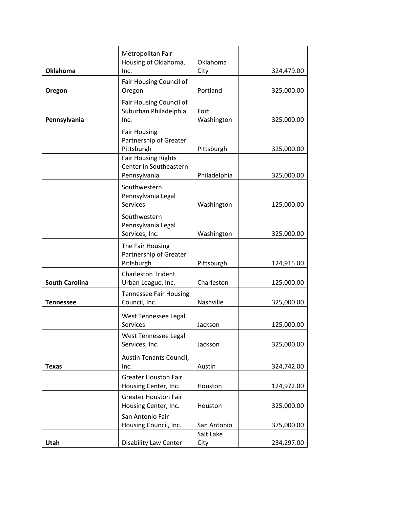|                       | Metropolitan Fair<br>Housing of Oklahoma,                            | Oklahoma           |            |
|-----------------------|----------------------------------------------------------------------|--------------------|------------|
| <b>Oklahoma</b>       | Inc.                                                                 | City               | 324,479.00 |
| Oregon                | Fair Housing Council of<br>Oregon                                    | Portland           | 325,000.00 |
| Pennsylvania          | Fair Housing Council of<br>Suburban Philadelphia,<br>Inc.            | Fort<br>Washington | 325,000.00 |
|                       | <b>Fair Housing</b><br>Partnership of Greater<br>Pittsburgh          | Pittsburgh         | 325,000.00 |
|                       | <b>Fair Housing Rights</b><br>Center in Southeastern<br>Pennsylvania | Philadelphia       | 325,000.00 |
|                       | Southwestern<br>Pennsylvania Legal<br>Services                       | Washington         | 125,000.00 |
|                       | Southwestern<br>Pennsylvania Legal<br>Services, Inc.                 | Washington         | 325,000.00 |
|                       | The Fair Housing<br>Partnership of Greater<br>Pittsburgh             | Pittsburgh         | 124,915.00 |
| <b>South Carolina</b> | <b>Charleston Trident</b><br>Urban League, Inc.                      | Charleston         | 125,000.00 |
| <b>Tennessee</b>      | <b>Tennessee Fair Housing</b><br>Council, Inc.                       | Nashville          | 325,000.00 |
|                       | West Tennessee Legal<br>Services                                     | Jackson            | 125,000.00 |
|                       | West Tennessee Legal<br>Services, Inc.                               | Jackson            | 325,000.00 |
| <b>Texas</b>          | Austin Tenants Council,<br>Inc.                                      | Austin             | 324,742.00 |
|                       | <b>Greater Houston Fair</b><br>Housing Center, Inc.                  | Houston            | 124,972.00 |
|                       | <b>Greater Houston Fair</b><br>Housing Center, Inc.                  | Houston            | 325,000.00 |
|                       | San Antonio Fair<br>Housing Council, Inc.                            | San Antonio        | 375,000.00 |
| Utah                  | <b>Disability Law Center</b>                                         | Salt Lake<br>City  | 234,297.00 |